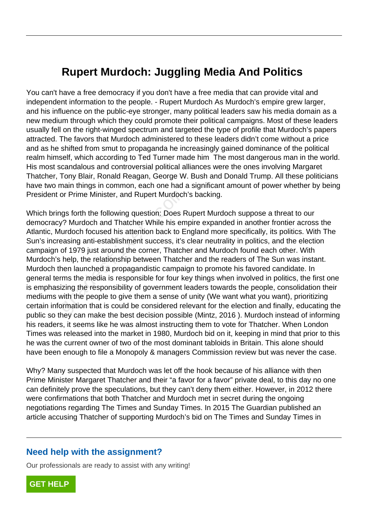## **Rupert Murdoch: Juggling Media And Politics**

You can't have a free democracy if you don't have a free media that can provide vital and independent information to the people. - Rupert Murdoch As Murdoch's empire grew larger, and his influence on the public-eye stronger, many political leaders saw his media domain as a new medium through which they could promote their political campaigns. Most of these leaders usually fell on the right-winged spectrum and targeted the type of profile that Murdoch's papers attracted. The favors that Murdoch administered to these leaders didn't come without a price and as he shifted from smut to propaganda he increasingly gained dominance of the political realm himself, which according to Ted Turner made him The most dangerous man in the world. His most scandalous and controversial political alliances were the ones involving Margaret Thatcher, Tony Blair, Ronald Reagan, George W. Bush and Donald Trump. All these politicians have two main things in common, each one had a significant amount of power whether by being President or Prime Minister, and Rupert Murdoch's backing.

Which brings forth the following question: Does Rupert Murdoch suppose a threat to our democracy? Murdoch and Thatcher While his empire expanded in another frontier across the Atlantic, Murdoch focused his attention back to England more specifically, its politics. With The Sun's increasing anti-establishment success, it's clear neutrality in politics, and the election campaign of 1979 just around the corner, Thatcher and Murdoch found each other. With Murdoch's help, the relationship between Thatcher and the readers of The Sun was instant. Murdoch then launched a propagandistic campaign to promote his favored candidate. In general terms the media is responsible for four key things when involved in politics, the first one is emphasizing the responsibility of government leaders towards the people, consolidation their mediums with the people to give them a sense of unity (We want what you want), prioritizing certain information that is could be considered relevant for the election and finally, educating the public so they can make the best decision possible (Mintz, 2016 ). Murdoch instead of informing his readers, it seems like he was almost instructing them to vote for Thatcher. When London Times was released into the market in 1980, Murdoch bid on it, keeping in mind that prior to this he was the current owner of two of the most dominant tabloids in Britain. This alone should have been enough to file a Monopoly & managers Commission review but was never the case. or Prime Minister, and Rupert Murdoch<br>gs forth the following question: Does R<br>frequency? Murdoch and Thatcher While his em<br>urdoch focused his attention back to E<br>easing anti-establishment success, it's<br>of 1979 just around

Why? Many suspected that Murdoch was let off the hook because of his alliance with then Prime Minister Margaret Thatcher and their "a favor for a favor" private deal, to this day no one can definitely prove the speculations, but they can't deny them either. However, in 2012 there were confirmations that both Thatcher and Murdoch met in secret during the ongoing negotiations regarding The Times and Sunday Times. In 2015 The Guardian published an article accusing Thatcher of supporting Murdoch's bid on The Times and Sunday Times in

## **Need help with the assignment?**

Our professionals are ready to assist with any writing!

**[GET HELP](https://my.gradesfixer.com/order?utm_campaign=pdf_sample)**